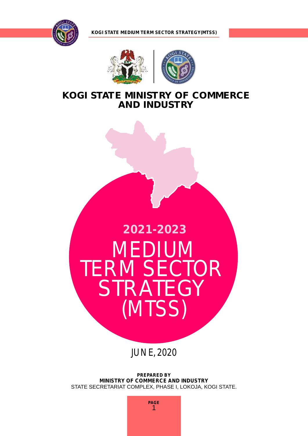





## **KOGI STATE MINISTRY OF COMMERCE AND INDUSTRY**



JUNE, 2020

**PREPARED BY MINISTRY OF COMMERCE AND INDUSTRY** STATE SECRETARIAT COMPLEX, PHASE I, LOKOJA, KOGI STATE.

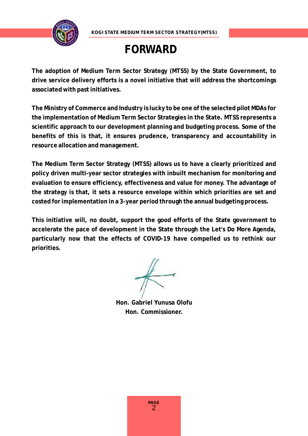

## **FORWARD**

**The adoption of Medium Term Sector Strategy (MTSS) by the State Government, to drive service delivery efforts is a novel initiative that will address the shortcomings associated with past initiatives.** 

**The Ministry of Commerce and Industry is lucky to be one of the selected pilot MDAs for the implementation of Medium Term Sector Strategies in the State. MTSS represents a scientific approach to our development planning and budgeting process. Some of the benefits of this is that, it ensures prudence, transparency and accountability in resource allocation and management.** 

**The Medium Term Sector Strategy (MTSS) allows us to have a clearly prioritized and policy driven multi-year sector strategies with inbuilt mechanism for monitoring and evaluation to ensure efficiency, effectiveness and value for money. The advantage of the strategy is that, it sets a resource envelope within which priorities are set and costed for implementation in a 3-year period through the annual budgeting process.**

**This initiative will, no doubt, support the good efforts of the State government to accelerate the pace of development in the State through the Let's Do More Agenda, particularly now that the effects of COVID-19 have compelled us to rethink our priorities.** 

**Hon. Gabriel Yunusa Olofu Hon. Commissioner.**

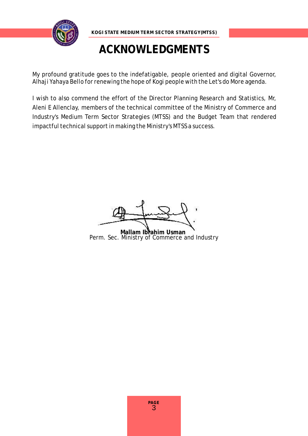

## **ACKNOWLEDGMENTS**

My profound gratitude goes to the indefatigable, people oriented and digital Governor, Alhaji Yahaya Bello for renewing the hope of Kogi people with the Let's do More agenda.

I wish to also commend the effort of the Director Planning Research and Statistics, Mr, Aleni E Allenclay, members of the technical committee of the Ministry of Commerce and Industry's Medium Term Sector Strategies (MTSS) and the Budget Team that rendered impactful technical support in making the Ministry's MTSS a success.

**Mallam Ibrahim Usman** Perm. Sec. Ministry of Commerce and Industry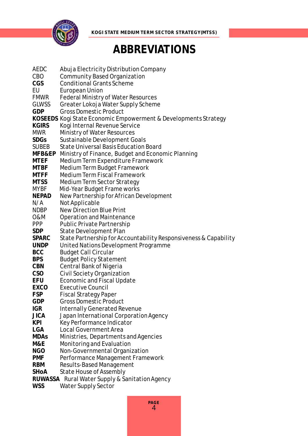

# **ABBREVIATIONS**

| AEDC         | Abuja Electricity Distribution Company                           |
|--------------|------------------------------------------------------------------|
| CBO          | Community Based Organization                                     |
| CGS          | <b>Conditional Grants Scheme</b>                                 |
| EU           | European Union                                                   |
| <b>FMWR</b>  | <b>Federal Ministry of Water Resources</b>                       |
| <b>GLWSS</b> | Greater Lokoja Water Supply Scheme                               |
| GDP          | <b>Gross Domestic Product</b>                                    |
|              | KOSEEDS Kogi State Economic Empowerment & Developments Strategy  |
| <b>KGIRS</b> | Kogi Internal Revenue Service                                    |
| <b>MWR</b>   | Ministry of Water Resources                                      |
| <b>SDGs</b>  | Sustainable Development Goals                                    |
| <b>SUBEB</b> | <b>State Universal Basis Education Board</b>                     |
| MFB&EP       | Ministry of Finance, Budget and Economic Planning                |
| <b>MTEF</b>  | Medium Term Expenditure Framework                                |
| MTBF         | Medium Term Budget Framework                                     |
| MTFF         | <b>Medium Term Fiscal Framework</b>                              |
| <b>MTSS</b>  | Medium Term Sector Strategy                                      |
| <b>MYBF</b>  | Mid-Year Budget Frame works                                      |
| <b>NEPAD</b> | New Partnership for African Development                          |
| N/A          | Not Applicable                                                   |
| NDBP         | <b>New Direction Blue Print</b>                                  |
| 0&M          | Operation and Maintenance                                        |
| <b>PPP</b>   | Public Private Partnership                                       |
| <b>SDP</b>   | State Development Plan                                           |
| <b>SPARC</b> | State Partnership for Accountability Responsiveness & Capability |
| <b>UNDP</b>  | United Nations Development Programme                             |
| <b>BCC</b>   | <b>Budget Call Circular</b>                                      |
| <b>BPS</b>   | <b>Budget Policy Statement</b>                                   |
| <b>CBN</b>   | Central Bank of Nigeria                                          |
| <b>CSO</b>   | Civil Society Organization                                       |
| EFU          | <b>Economic and Fiscal Update</b>                                |
| EXCO         | Executive Council                                                |
| <b>FSP</b>   | <b>Fiscal Strategy Paper</b>                                     |
| GDP          | <b>Gross Domestic Product</b>                                    |
| <b>IGR</b>   | Internally Generated Revenue                                     |
| <b>JICA</b>  | Japan International Corporation Agency                           |
| <b>KPI</b>   | Key Performance Indicator                                        |
| <b>LGA</b>   | <b>Local Government Area</b>                                     |
| <b>MDAs</b>  | Ministries, Departments and Agencies                             |
| M&E          | Monitoring and Evaluation                                        |
| <b>NGO</b>   | Non-Governmental Organization                                    |
| <b>PMF</b>   | Performance Management Framework                                 |
| <b>RBM</b>   | Results-Based Management                                         |
| SHoA         | State House of Assembly                                          |
|              | RUWASSA Rural Water Supply & Sanitation Agency                   |
| <b>WSS</b>   | <b>Water Supply Sector</b>                                       |
|              |                                                                  |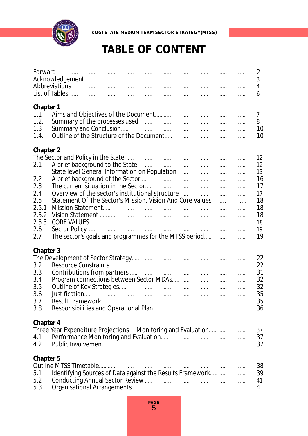

# **TABLE OF CONTENT**

| Forward                                                                               | $\cdots$<br>Acknowledgement<br>Abbreviations<br>List of Tables                                                                                                                                                                                                                                                                       | $\ldots$<br>$\ldots$<br>$\sim$ | .<br>$\cdots$<br>$\ldots$<br>$\sim$ | .<br>$\ldots$<br>$\cdots$<br>$\ldots$                                                                                                      | .<br>$\ldots$<br>$\ldots$<br>$\ldots$ . | $\cdots$<br>$\ldots$<br>$\cdots$<br>$\cdots$ | $\cdots$<br>$\cdots$<br>$\cdots$<br>.             | $\cdots$<br>$\ldots$<br>$\cdots$<br>.                                                      | .<br>$\cdots$<br>aaan in<br>.                                      | $\cdots$<br>.<br>.<br>.                                  | 2<br>3<br>4<br>6                                                     |
|---------------------------------------------------------------------------------------|--------------------------------------------------------------------------------------------------------------------------------------------------------------------------------------------------------------------------------------------------------------------------------------------------------------------------------------|--------------------------------|-------------------------------------|--------------------------------------------------------------------------------------------------------------------------------------------|-----------------------------------------|----------------------------------------------|---------------------------------------------------|--------------------------------------------------------------------------------------------|--------------------------------------------------------------------|----------------------------------------------------------|----------------------------------------------------------------------|
| Chapter 1<br>1.1<br>1.2.<br>1.3<br>1.4.                                               | Aims and Objectives of the Document<br>Summary of the processes used<br>Summary and Conclusion<br>Outline of the Structure of the Document                                                                                                                                                                                           |                                |                                     |                                                                                                                                            | المنتب المنتب                           |                                              | .<br>.<br>$\ldots$<br>$\cdots$                    | $\ldots$<br>$\cdots$<br>$\cdots$<br>$\cdots$                                               | $\cdots$<br>$\cdots$<br>$\ldots$                                   | .<br>.<br>.<br>.                                         | 7<br>8<br>10<br>10                                                   |
| Chapter 2<br>2.1<br>2.2<br>2.3<br>2.4<br>2.5<br>2.5.1<br>2.5.2<br>2.5.3<br>2.6<br>2.7 | A brief background to the State<br>State level General Information on Population<br>The current situation in the Sector<br>Overview of the sector's institutional structure<br>Statement Of The Sector's Mission, Vision And Core Values<br>Vision Statement<br>CORE VALUES<br>The sector's goals and programmes for the MTSS period |                                |                                     | المتمر المتمر المتمر المتناوب المتمر المتمر                                                                                                | ستنداح المنتداح المتمدحات               | المنتب<br>$\ldots$                           | $\cdots$<br>$\ldots$<br>$\ldots$<br>.<br>$\cdots$ | .<br>.<br>.<br>.<br>$\ldots$<br>.<br>.<br>$\cdots$<br><b>Contract Contract</b><br>$\ldots$ | .<br>.<br>.<br>.<br>.<br>.<br>.<br>.<br>.<br>.<br>.<br>.           | .<br>.<br>.<br>.<br>.<br>.<br>.<br>.<br>.<br>.<br>.<br>. | 12<br>12<br>13<br>16<br>17<br>17<br>18<br>18<br>18<br>18<br>19<br>19 |
| Chapter 3<br>3.2<br>3.3<br>3.4<br>3.5<br>3.6<br>3.7<br>3.8                            | The Development of Sector Strategy<br>Resource Constraints<br>Contributions from partners<br>Program connections between Sector MDAs<br>Outline of Key Strategies<br>Justification<br>Result Framework Communication and the communication of the communication of the communication of the com                                      |                                |                                     | $\sim 1000$ km $^{-1}$<br>and the company of the company of the company of the company of the company of the company of the company of the | المنتب المنتب<br>$\ldots$<br>$\ldots$   | $\ldots$<br>$\ldots$<br>$\ldots$             | $\cdots$<br>$\cdots$<br>.<br>$\cdots$             | .<br>$\cdots$<br>$\ldots$<br>.<br>$\cdots$<br>$\cdots$                                     | .<br>.<br>$\ldots$<br>$\ldots$<br>.<br>.<br><b>Continued State</b> | .<br>.<br>.<br>.<br>.<br>.<br>$\cdots$                   | 22<br>22<br>31<br>32<br>32<br>35<br>35<br>36                         |
| Chapter 4<br>4.1<br>4.2                                                               | Three Year Expenditure Projections Monitoring and Evaluation<br>Public Involvement <b>Contract Contract Contract Contract Contract Contract Contract Contract Contract Contract Contract Contract Contract Contract Contract Contract Contract Contract Contract Contract Contract Contract</b>                                      |                                |                                     |                                                                                                                                            |                                         |                                              |                                                   |                                                                                            |                                                                    |                                                          | 37<br>37<br>37                                                       |
| Chapter 5<br>5.1<br>5.2<br>5.3                                                        | Identifying Sources of Data against the Results Framework  [1161]                                                                                                                                                                                                                                                                    |                                |                                     |                                                                                                                                            |                                         |                                              |                                                   |                                                                                            |                                                                    |                                                          | 38<br>39<br>41<br>41                                                 |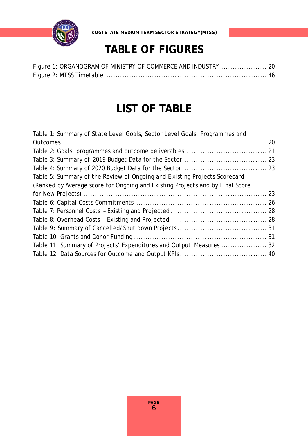

# **TABLE OF FIGURES**

| Figure 1: ORGANOGRAM OF MINISTRY OF COMMERCE AND INDUSTRY  20 |  |
|---------------------------------------------------------------|--|
|                                                               |  |

# **LIST OF TABLE**

| Table 11: Summary of Projects' Expenditures and Output Measures  32 |
|---------------------------------------------------------------------|
|                                                                     |
|                                                                     |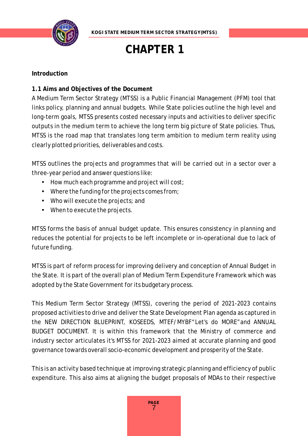

# **CHAPTER 1**

### **Introduction**

**1.1 Aims and Objectives of the Document**

A Medium Term Sector Strategy (MTSS) is a Public Financial Management (PFM) tool that links policy, planning and annual budgets. While State policies outline the high level and long-term goals, MTSS presents costed necessary inputs and activities to deliver specific outputs in the medium term to achieve the long term big picture of State policies. Thus, MTSS is the road map that translates long term ambition to medium term reality using clearly plotted priorities, deliverables and costs.

MTSS outlines the projects and programmes that will be carried out in a sector over a three-year period and answer questions like:

- $\bullet$  How much each programme and project will cost;
- •Where the funding for the projects comes from;
- •Who will execute the projects; and
- When to execute the projects.

MTSS forms the basis of annual budget update. This ensures consistency in planning and reduces the potential for projects to be left incomplete or in-operational due to lack of future funding.

MTSS is part of reform process for improving delivery and conception of Annual Budget in the State. It is part of the overall plan of Medium Term Expenditure Framework which was adopted by the State Government for its budgetary process.

This Medium Term Sector Strategy (MTSS), covering the period of 2021-2023 contains proposed activities to drive and deliver the State Development Plan agenda as captured in the NEW DIRECTION BLUEPRINT, KOSEEDS, MTEF/MYBF"Let's do MORE"and ANNUAL BUDGET DOCUMENT. It is within this framework that the Ministry of commerce and industry sector articulates it's MTSS for 2021-2023 aimed at accurate planning and good governance towards overall socio-economic development and prosperity of the State.

This is an activity based technique at improving strategic planning and efficiency of public expenditure. This also aims at aligning the budget proposals of MDAs to their respective

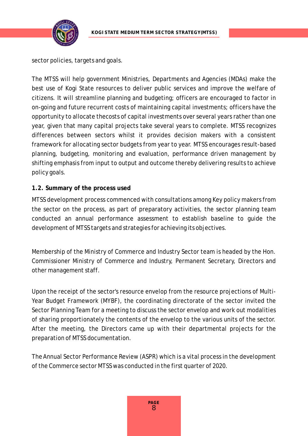

sector policies, targets and goals.

The MTSS will help government Ministries, Departments and Agencies (MDAs) make the best use of Kogi State resources to deliver public services and improve the welfare of citizens. It will streamline planning and budgeting; officers are encouraged to factor in on-going and future recurrent costs of maintaining capital investments; officers have the opportunity to allocate thecosts of capital investments over several years rather than one year, given that many capital projects take several years to complete. MTSS recognizes differences between sectors whilst it provides decision makers with a consistent framework for allocating sector budgets from year to year. MTSS encourages result-based planning, budgeting, monitoring and evaluation, performance driven management by shifting emphasis from input to output and outcome thereby delivering results to achieve policy goals.

### **1.2. Summary of the process used**

MTSS development process commenced with consultations among Key policy makers from the sector on the process, as part of preparatory activities, the sector planning team conducted an annual performance assessment to establish baseline to guide the development of MTSS targets and strategies for achieving its objectives.

Membership of the Ministry of Commerce and Industry Sector team is headed by the Hon. Commissioner Ministry of Commerce and Industry, Permanent Secretary, Directors and other management staff.

Upon the receipt of the sector's resource envelop from the resource projections of Multi-Year Budget Framework (MYBF), the coordinating directorate of the sector invited the Sector Planning Team for a meeting to discuss the sector envelop and work out modalities of sharing proportionately the contents of the envelop to the various units of the sector. After the meeting, the Directors came up with their departmental projects for the preparation of MTSS documentation.

The Annual Sector Performance Review (ASPR) which is a vital process in the development of the Commerce sector MTSS was conducted in the first quarter of 2020.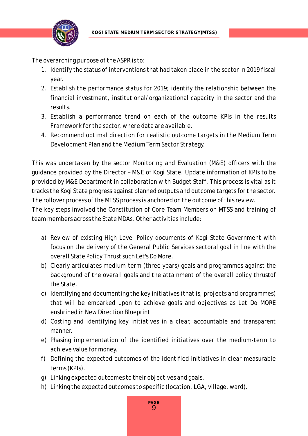

The overarching purpose of the ASPR is to:

- 1. Identify the status of interventions that had taken place in the sector in 2019 fiscal year.
- 2. Establish the performance status for 2019; identify the relationship between the financial investment, institutional/organizational capacity in the sector and the results.
- *3. Establish a performance trend on each of the outcome KPIs in the results Framework for the sector, where data are available.*
- *4. Recommend optimal direction for realistic outcome targets in the Medium Term Development Plan and the Medium Term Sector Strategy.*

This was undertaken by the sector Monitoring and Evaluation (M&E) officers with the guidance provided by the Director – M&E of Kogi State. Update information of KPIs to be provided by M&E Department in collaboration with Budget Staff. This process is vital as it tracks the Kogi State progress against planned outputs and outcome targets for the sector. The rollover process of the MTSS process is anchored on the outcome of this review.

The key steps involved the Constitution of Core Team Members on MTSS and training of team members across the State MDAs. Other activities include:

- a) Review of existing High Level Policy documents of Kogi State Government with focus on the delivery of the General Public Services sectoral goal in line with the overall State Policy Thrust such Let's Do More.
- b) Clearly articulates medium-term (three years) goals and programmes against the background of the overall goals and the attainment of the overall policy thrustof the State.
- c) Identifying and documenting the key initiatives (that is, projects and programmes) that will be embarked upon to achieve goals and objectives as Let Do MORE enshrined in New Direction Blueprint.
- d) Costing and identifying key initiatives in a clear, accountable and transparent manner.
- e) Phasing implementation of the identified initiatives over the medium-term to achieve value for money.
- f) Defining the expected outcomes of the identified initiatives in clear measurable terms (KPIs).
- g) Linking expected outcomes to their objectives and goals.
- h) Linking the expected outcomes to specific (location, LGA, village, ward).

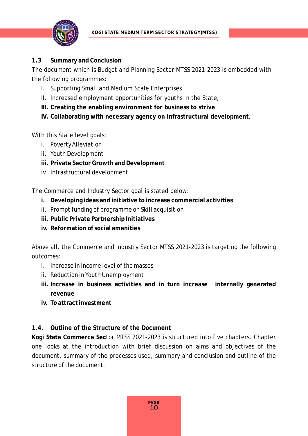

**1.3 Summary and Conclusion**

The document which is Budget and Planning Sector MTSS 2021-2023 is embedded with the following programmes:

- I. Supporting Small and Medium Scale Enterprises
- II. Increased employment opportunities for youths in the State;
- **III. Creating the enabling environment for business to strive**
- **IV. Collaborating with necessary agency on infrastructural development**.

With this State level goals:

- i. Poverty Alleviation
- ii. Youth Development
- **iii. Private Sector Growth and Development**
- iv. Infrastructural development

The Commerce and Industry Sector goal is stated below:

- **i. Developing ideas and initiative to increase commercial activities**
- ii. Prompt funding of programme on Skill acquisition
- **iii. Public Private Partnership Initiatives**
- **iv. Reformation of social amenities**

Above all, the Commerce and Industry Sector MTSS 2021-2023 is targeting the following outcomes:

- i. Increase in income level of the masses
- ii. Reduction in Youth Unemployment
- **iii. Increase in business activities and in turn increase internally generated revenue**
- **iv. To attract investment**

**1.4. Outline of the Structure of the Document**

**Kogi State Commerce Sec**tor MTSS 2021-2023 is structured into five chapters. Chapter one looks at the introduction with brief discussion on aims and objectives of the document, summary of the processes used, summary and conclusion and outline of the structure of the document.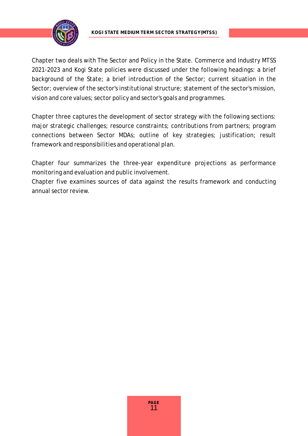

Chapter two deals with The Sector and Policy in the State. Commerce and Industry MTSS 2021-2023 and Kogi State policies were discussed under the following headings: a brief background of the State; a brief introduction of the Sector; current situation in the Sector; overview of the sector's institutional structure; statement of the sector's mission, vision and core values; sector policy and sector's goals and programmes.

Chapter three captures the development of sector strategy with the following sections: major strategic challenges; resource constraints; contributions from partners; program connections between Sector MDAs; outline of key strategies; justification; result framework and responsibilities and operational plan.

Chapter four summarizes the three-year expenditure projections as performance monitoring and evaluation and public involvement.

Chapter five examines sources of data against the results framework and conducting annual sector review.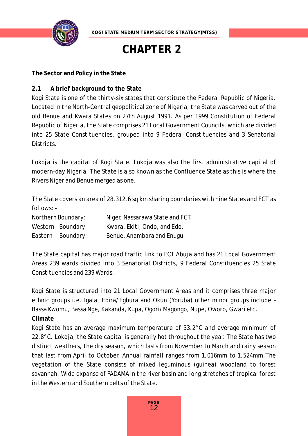

# **CHAPTER 2**

**The Sector and Policy in the State**

**2.1 A brief background to the State**

Kogi State is one of the thirty-six states that constitute the Federal Republic of Nigeria. Located in the North-Central geopolitical zone of Nigeria; the State was carved out of the old Benue and Kwara States on 27th August 1991. As per 1999 Constitution of Federal Republic of Nigeria, the State comprises 21 Local Government Councils, which are divided into 25 State Constituencies, grouped into 9 Federal Constituencies and 3 Senatorial Districts.

Lokoja is the capital of Kogi State. Lokoja was also the first administrative capital of modern-day Nigeria. The State is also known as the Confluence State as this is where the Rivers Niger and Benue merged as one.

The State covers an area of 28,312.6 sq km sharing boundaries with nine States and FCT as follows: -

| Northern Boundary: | Niger, Nassarawa State and FCT. |  |  |  |  |
|--------------------|---------------------------------|--|--|--|--|
| Western Boundary:  | Kwara, Ekiti, Ondo, and Edo.    |  |  |  |  |
| Eastern Boundary:  | Benue, Anambara and Enugu.      |  |  |  |  |

The State capital has major road traffic link to FCT Abuja and has 21 Local Government Areas 239 wards divided into 3 Senatorial Districts, 9 Federal Constituencies 25 State Constituencies and 239 Wards.

Kogi State is structured into 21 Local Government Areas and it comprises three major ethnic groups i.e. Igala, Ebira/Egbura and Okun (Yoruba) other minor groups include – Bassa Kwomu, Bassa Nge, Kakanda, Kupa, Ogori/Magongo, Nupe, Oworo, Gwari etc. **Climate**

Kogi State has an average maximum temperature of 33.2°C and average minimum of 22.8°C. Lokoja, the State capital is generally hot throughout the year. The State has two distinct weathers, the dry season, which lasts from November to March and rainy season that last from April to October. Annual rainfall ranges from 1,016mm to 1,524mm.The vegetation of the State consists of mixed leguminous (guinea) woodland to forest savannah. Wide expanse of FADAMA in the river basin and long stretches of tropical forest in the Western and Southern belts of the State.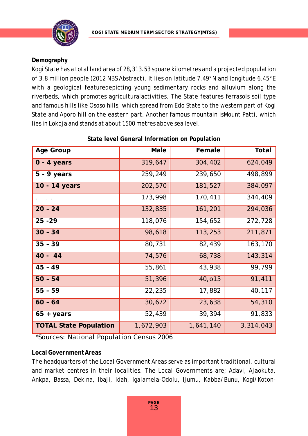

### **Demography**

Kogi State has a total land area of 28,313.53 square kilometres and a projected population of 3.8 million people (2012 NBS Abstract). It lies on latitude 7.49°N and longitude 6.45°E with a geological featuredepicting young sedimentary rocks and alluvium along the riverbeds, which promotes agriculturalactivities. The State features ferrasols soil type and famous hills like Ososo hills, which spread from Edo State to the western part of Kogi State and Aporo hill on the eastern part. Another famous mountain isMount Patti, which lies in Lokoja and stands at about 1500 metres above sea level.

| Age Group                     | Male      | Female    | Total     |
|-------------------------------|-----------|-----------|-----------|
| $0 - 4$ years                 | 319,647   | 304,402   | 624,049   |
| $5 - 9$ years                 | 259,249   | 239,650   | 498,899   |
| 10 - 14 years                 | 202,570   | 181,527   | 384,097   |
|                               | 173,998   | 170,411   | 344,409   |
| $20 - 24$                     | 132,835   | 161,201   | 294,036   |
| $25 - 29$                     | 118,076   | 154,652   | 272,728   |
| $30 - 34$                     | 98,618    | 113,253   | 211,871   |
| $35 - 39$                     | 80,731    | 82,439    | 163,170   |
| $40 - 44$                     | 74,576    | 68,738    | 143,314   |
| $45 - 49$                     | 55,861    | 43,938    | 99,799    |
| $50 - 54$                     | 51,396    | 40, o 15  | 91,411    |
| $55 - 59$                     | 22,235    | 17,882    | 40,117    |
| $60 - 64$                     | 30,672    | 23,638    | 54,310    |
| $65 + \gamma$ ears            | 52,439    | 39,394    | 91,833    |
| <b>TOTAL State Population</b> | 1,672,903 | 1,641,140 | 3,314,043 |

#### **State level General Information on Population**

\*Sources: National Population Census 2006

#### **Local Government Areas**

The headquarters of the Local Government Areas serve as important traditional, cultural and market centres in their localities. The Local Governments are; Adavi, Ajaokuta, Ankpa, Bassa, Dekina, Ibaji, Idah, Igalamela-Odolu, Ijumu, Kabba/Bunu, Kogi/Koton-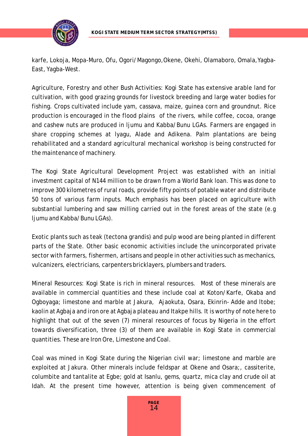

karfe, Lokoja, Mopa-Muro, Ofu, Ogori/Magongo,Okene, Okehi, Olamaboro, Omala,Yagba-East, Yagba-West.

Agriculture, Forestry and other Bush Activities: Kogi State has extensive arable land for cultivation, with good grazing grounds for livestock breeding and large water bodies for fishing. Crops cultivated include yam, cassava, maize, guinea corn and groundnut. Rice production is encouraged in the flood plains of the rivers, while coffee, cocoa, orange and cashew nuts are produced in ljumu and Kabba/Bunu LGAs. Farmers are engaged in share cropping schemes at lyagu, Alade and Adikena. Palm plantations are being rehabilitated and a standard agricultural mechanical workshop is being constructed for the maintenance of machinery.

The Kogi State Agricultural Development Project was established with an initial investment capital of N144 million to be drawn from a World Bank loan. This was done to improve 300 kilometres of rural roads, provide fifty points of potable water and distribute 50 tons of various farm inputs. Much emphasis has been placed on agriculture with substantial lumbering and saw milling carried out in the forest areas of the state (e.g ljumu and Kabba/Bunu LGAs).

Exotic plants such as teak (tectona grandis) and pulp wood are being planted in different parts of the State. Other basic economic activities include the unincorporated private sector with farmers, fishermen, artisans and people in other activities such as mechanics, vulcanizers, electricians, carpenters bricklayers, plumbers and traders.

Mineral Resources: Kogi State is rich in mineral resources. Most of these minerals are available in commercial quantities and these include coal at Koton/Karfe, Okaba and Ogboyaga; limestone and marble at Jakura, Ajaokuta, Osara, Ekinrin- Adde and ltobe; kaolin at Agbaja and iron ore at Agbaja plateau and Itakpe hills. It is worthy of note here to highlight that out of the seven (7) mineral resources of focus by Nigeria in the effort towards diversification, three (3) of them are available in Kogi State in commercial quantities. These are Iron Ore, Limestone and Coal.

Coal was mined in Kogi State during the Nigerian civil war; limestone and marble are exploited at Jakura. Other minerals include feldspar at Okene and Osara;, cassiterite, columbite and tantalite at Egbe; gold at Isanlu, gems, quartz, mica clay and crude oil at Idah. At the present time however, attention is being given commencement of

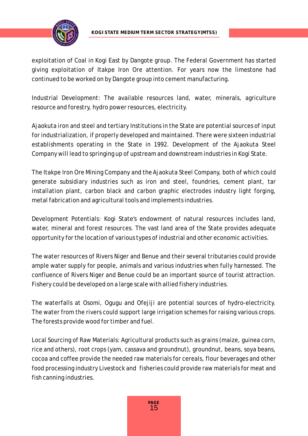

exploitation of Coal in Kogi East by Dangote group. The Federal Government has started giving exploitation of Itakpe Iron Ore attention. For years now the limestone had continued to be worked on by Dangote group into cement manufacturing.

Industrial Development: The available resources land, water, minerals, agriculture resource and forestry, hydro power resources, electricity.

Ajaokuta iron and steel and tertiary Institutions in the State are potential sources of input for industrialization, if properly developed and maintained. There were sixteen industrial establishments operating in the State in 1992. Development of the Ajaokuta Steel Company will lead to springing up of upstream and downstream industries in Kogi State.

The Itakpe Iron Ore Mining Company and the Ajaokuta Steel Company, both of which could generate subsidiary industries such as iron and steel, foundries, cement plant, tar installation plant, carbon black and carbon graphic electrodes industry light forging, metal fabrication and agricultural tools and implements industries.

Development Potentials: Kogi State's endowment of natural resources includes land, water, mineral and forest resources. The vast land area of the State provides adequate opportunity for the location of various types of industrial and other economic activities.

The water resources of Rivers Niger and Benue and their several tributaries could provide ample water supply for people, animals and various industries when fully harnessed. The confluence of Rivers Niger and Benue could be an important source of tourist attraction. Fishery could be developed on a large scale with allied fishery industries.

The waterfalls at Osomi, Ogugu and Ofejiji are potential sources of hydro-electricity. The water from the rivers could support large irrigation schemes for raising various crops. The forests provide wood for timber and fuel.

Local Sourcing of Raw Materials: Agricultural products such as grains (maize, guinea corn, rice and others), root crops (yam, cassava and groundnut), groundnut, beans, soya beans, cocoa and coffee provide the needed raw materials for cereals, flour beverages and other food processing industry Livestock and fisheries could provide raw materials for meat and fish canning industries.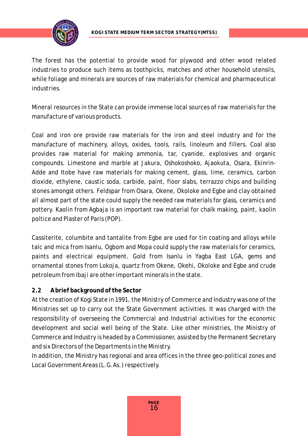

The forest has the potential to provide wood for plywood and other wood related industries to produce such items as toothpicks, matches and other household utensils, while foliage and minerals are sources of raw materials for chemical and pharmaceutical industries.

Mineral resources in the State can provide immense local sources of raw materials for the manufacture of various products.

Coal and iron ore provide raw materials for the iron and steel industry and for the manufacture of machinery, alloys, oxides, tools, rails, linoleum and fillers. Coal also provides raw material for making ammonia, tar, cyanide, explosives and organic compounds. Limestone and marble at Jakura, Oshokoshoko, Ajaokuta, Osara, Ekinrin-Adde and Itobe have raw materials for making cement, glass, lime, ceramics, carbon dioxide, ethylene, caustic soda, carbide, paint, floor slabs, terrazzo chips and building stones amongst others. Feldspar from Osara, Okene, Okoloke and Egbe and clay obtained all almost part of the state could supply the needed raw materials for glass, ceramics and pottery. Kaolin from Agbaja is an important raw material for chalk making, paint, kaolin poltice and Plaster of Paris (POP).

Cassiterite, columbite and tantalite from Egbe are used for tin coating and alloys while talc and mica from Isanlu, Ogbom and Mopa could supply the raw materials for ceramics, paints and electrical equipment. Gold from Isanlu in Yagba East LGA, gems and ornamental stones from Lokoja, quartz from Okene, Okehi, Okoloke and Egbe and crude petroleum from Ibaji are other important minerals in the state.

### *2.2* **Abrief background of the Sector**

At the creation of Kogi State in 1991, the Ministry of Commerce and Industry was one of the Ministries set up to carry out the State Government activities. It was charged with the responsibility of overseeing the Commercial and Industrial activities for the economic development and social well being of the State. Like other ministries, the Ministry of Commerce and Industry is headed by a Commissioner, assisted by the Permanent Secretary and six Directors of the Departments in the Ministry.

In addition, the Ministry has regional and area offices in the three geo-political zones and Local Government Areas (L.G.As.) respectively.

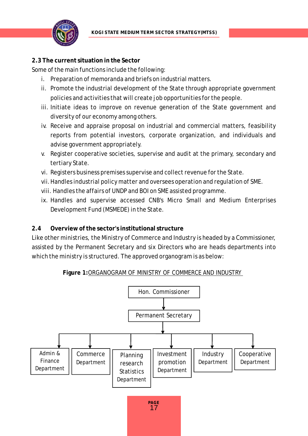

### **2.3 The current situation in the Sector**

Some of the main functions include the following:

- i. Preparation of memoranda and briefs on industrial matters.
- ii. Promote the industrial development of the State through appropriate government policies and activities that will create job opportunities for the people.
- iii. Initiate ideas to improve on revenue generation of the State government and diversity of our economy among others.
- iv. Receive and appraise proposal on industrial and commercial matters, feasibility reports from potential investors, corporate organization, and individuals and advise government appropriately.
- v. Register cooperative societies, supervise and audit at the primary, secondary and tertiary State.
- vi. Registers business premises supervise and collect revenue for the State.
- vii.Handles industrial policy matter and oversees operation and regulation of SME.
- viii. Handles the affairs of UNDP and BOI on SME assisted programme.
- ix. Handles and supervise accessed CNB's Micro Small and Medium Enterprises Development Fund (MSMEDE) in the State.

### **2.4 Overview of the sector's institutional structure**

Like other ministries, the Ministry of Commerce and Industry is headed by a Commissioner, assisted by the Permanent Secretary and six Directors who are heads departments into which the ministry is structured. The approved organogram is as below:

### **Figure 1:**ORGANOGRAM OF MINISTRY OF COMMERCE AND INDUSTRY

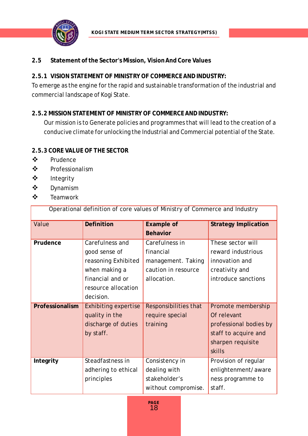

**2.5 Statement of the Sector's Mission, Vision And Core Values**

### **2.5.1 VISION STATEMENT OF MINISTRY OF COMMERCE AND INDUSTRY:**

To emerge as the engine for the rapid and sustainable transformation of the industrial and commercial landscape of Kogi State.

### **2.5.2 MISSION STATEMENT OF MINISTRY OF COMMERCE AND INDUSTRY:**

Our mission is to Generate policies and programmes that will lead to the creation of a conducive climate for unlocking the Industrial and Commercial potential of the State.

### **2.5.3 CORE VALUE OF THE SECTOR**

- ❖ Prudence
- v Professionalism
- v Integrity
- v Dynamism
- **❖** Teamwork

Operational definition of core values of Ministry of Commerce and Industry

| Value           | Definition           | Example of            | <b>Strategy Implication</b> |
|-----------------|----------------------|-----------------------|-----------------------------|
|                 |                      | Behavior              |                             |
| Prudence        | Carefulness and      | Carefulness in        | These sector will           |
|                 | good sense of        | financial             | reward industrious          |
|                 | reasoning Exhibited  | management. Taking    | innovation and              |
|                 | when making a        | caution in resource   | creativity and              |
|                 | financial and or     | allocation.           | introduce sanctions         |
|                 | resource allocation  |                       |                             |
|                 | decision.            |                       |                             |
| Professionalism | Exhibiting expertise | Responsibilities that | Promote membership          |
|                 | quality in the       | require special       | Of relevant                 |
|                 | discharge of duties  | training              | professional bodies by      |
|                 | by staff.            |                       | staff to acquire and        |
|                 |                      |                       | sharpen requisite           |
|                 |                      |                       | skills                      |
| Integrity       | Steadfastness in     | Consistency in        | Provision of regular        |
|                 | adhering to ethical  | dealing with          | enlightenment/aware         |
|                 | principles           | stakeholder's         | ness programme to           |
|                 |                      | without compromise.   | staff.                      |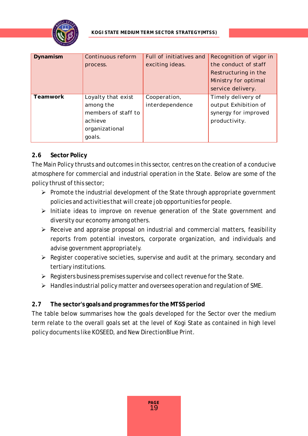

| Dynamism | Continuous reform<br>process.                                                                 | Full of initiatives and<br>exciting ideas. | Recognition of vigor in<br>the conduct of staff<br>Restructuring in the<br>Ministry for optimal<br>service delivery. |
|----------|-----------------------------------------------------------------------------------------------|--------------------------------------------|----------------------------------------------------------------------------------------------------------------------|
| Teamwork | Loyalty that exist<br>among the<br>members of staff to<br>achieve<br>organizational<br>goals. | Cooperation,<br>interdependence            | Timely delivery of<br>output Exhibition of<br>synergy for improved<br>productivity.                                  |

### **2.6 Sector Policy**

The Main Policy thrusts and outcomes in this sector, centres on the creation of a conducive atmosphere for commercial and industrial operation in the State. Below are some of the policy thrust of this sector;

- Ø Promote the industrial development of the State through appropriate government policies and activities that will create job opportunities for people.
- Ø Initiate ideas to improve on revenue generation of the State government and diversity our economy among others.
- Ø Receive and appraise proposal on industrial and commercial matters, feasibility reports from potential investors, corporate organization, and individuals and advise government appropriately.
- Ø Register cooperative societies, supervise and audit at the primary, secondary and tertiary institutions.
- Ø Registers business premises supervise and collect revenue for the State.
- Ø Handles industrial policy matter and oversees operation and regulation of SME.

### **2.7 The sector's goals and programmes for the MTSS period**

The table below summarises how the goals developed for the Sector over the medium term relate to the overall goals set at the level of Kogi State as contained in high level policy documents like KOSEED, and New DirectionBlue Print.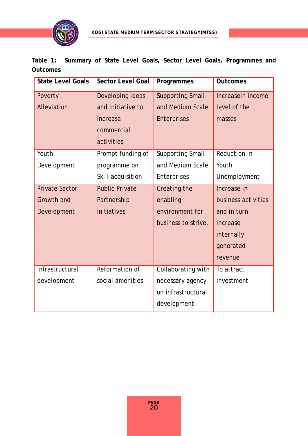

|                 |  |  |  |  | Table 1: Summary of State Level Goals, Sector Level Goals, Programmes and |  |
|-----------------|--|--|--|--|---------------------------------------------------------------------------|--|
| <b>Outcomes</b> |  |  |  |  |                                                                           |  |

| <b>State Level Goals</b> | Sector Level Goal                                                             | Programmes                                                        | Outcomes                                    |
|--------------------------|-------------------------------------------------------------------------------|-------------------------------------------------------------------|---------------------------------------------|
| Poverty<br>Alleviation   | Developing ideas<br>and initiative to<br>increase<br>commercial<br>activities | <b>Supporting Small</b><br>and Medium Scale<br><b>Enterprises</b> | Increasein income<br>level of the<br>masses |
| Youth                    | Prompt funding of                                                             | <b>Supporting Small</b>                                           | Reduction in                                |
| Development              | programme on                                                                  | and Medium Scale                                                  | Youth                                       |
|                          | Skill acquisition                                                             | Enterprises                                                       | Unemployment                                |
| <b>Private Sector</b>    | <b>Public Private</b>                                                         | Creating the                                                      | Increase in                                 |
| Growth and               | Partnership                                                                   | enabling                                                          | business activities                         |
| Development              | <b>Initiatives</b>                                                            | environment for                                                   | and in turn                                 |
|                          |                                                                               | business to strive.                                               | increase                                    |
|                          |                                                                               |                                                                   | internally                                  |
|                          |                                                                               |                                                                   | generated                                   |
|                          |                                                                               |                                                                   | revenue                                     |
| Infrastructural          | Reformation of                                                                | Collaborating with                                                | To attract                                  |
| development              | social amenities                                                              | necessary agency                                                  | investment                                  |
|                          |                                                                               | on infrastructural                                                |                                             |
|                          |                                                                               | development                                                       |                                             |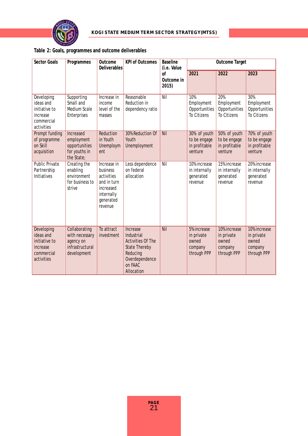

**Table 2: Goals, programmes and outcome deliverables**

| Sector Goals                                                                     | Programmes                                                                     | Outcome<br>Deliverables                                                                                 | <b>KPI of Outcomes</b>                                                                                                            | <b>Baseline</b><br>(i.e. Value | <b>Outcome Target</b>                                        |                                                               |                                                               |  |
|----------------------------------------------------------------------------------|--------------------------------------------------------------------------------|---------------------------------------------------------------------------------------------------------|-----------------------------------------------------------------------------------------------------------------------------------|--------------------------------|--------------------------------------------------------------|---------------------------------------------------------------|---------------------------------------------------------------|--|
|                                                                                  |                                                                                |                                                                                                         |                                                                                                                                   | 0f<br>Outcome in<br>2015)      | 2021                                                         | 2022                                                          | 2023                                                          |  |
| Developing<br>ideas and<br>initiative to<br>increase<br>commercial<br>activities | Supporting<br>Small and<br>Medium Scale<br>Enterprises                         | Increase in<br>income<br>level of the<br>masses                                                         | Reasonable<br>Reduction in<br>dependency ratio                                                                                    | Nil                            | 10%<br>Employment<br>Opportunities<br>To Citizens            | 20%<br>Employment<br>Opportunities<br>To Citizens             | 30%<br>Employment<br>Opportunities<br>To Citizens             |  |
| Prompt funding<br>of programme<br>on Skill<br>acquisition                        | Increased<br>employment<br>opportunities<br>for youths in<br>the State;        | Reduction<br>in Youth<br>Unemploym<br>ent                                                               | 30% Reduction Of<br>Youth<br>Unemployment                                                                                         | Nil                            | 30% of youth<br>to be engage<br>in profitable<br>venture     | 50% of youth<br>to be engage<br>in profitable<br>venture      | 70% of youth<br>to be engage<br>in profitable<br>venture      |  |
| <b>Public Private</b><br>Partnership<br>Initiatives                              | Creating the<br>enabling<br>environment<br>for business to<br>strive           | Increase in<br>business<br>activities<br>and in turn<br>increased<br>internally<br>generated<br>revenue | Less dependence<br>on federal<br>allocation                                                                                       | Nil                            | 10% increase<br>in internally<br>generated<br>revenue        | 15% increase<br>in internally<br>generated<br>revenue         | 20% increase<br>in internally<br>generated<br>revenue         |  |
| Developing<br>ideas and<br>initiative to<br>increase<br>commercial<br>activities | Collaborating<br>with necessary<br>agency on<br>infrastructural<br>development | To attract<br>investment                                                                                | Increase<br>Industrial<br><b>Activities Of The</b><br><b>State Thereby</b><br>Reducing<br>Overdependence<br>on FAAC<br>Allocation | Nil                            | 5% increase<br>in private<br>owned<br>company<br>through PPP | 10% increase<br>in private<br>owned<br>company<br>through PPP | 10% increase<br>in private<br>owned<br>company<br>through PPP |  |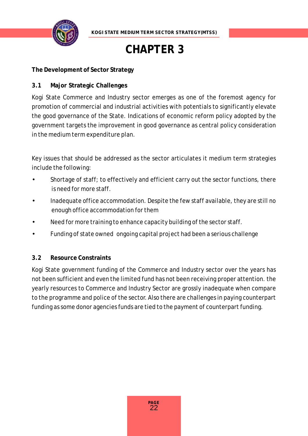

# **CHAPTER 3**

**The Development of Sector Strategy**

**3.1 Major Strategic Challenges**

Kogi State Commerce and Industry sector emerges as one of the foremost agency for promotion of commercial and industrial activities with potentials to significantly elevate the good governance of the State. Indications of economic reform policy adopted by the government targets the improvement in good governance as central policy consideration in the medium term expenditure plan.

Key issues that should be addressed as the sector articulates it medium term strategies include the following:

- Shortage of staff; to effectively and efficient carry out the sector functions, there is need for more staff.
- •Inadequate office accommodation. Despite the few staff available, they are still no enough office accommodation for them
- Need for more training to enhance capacity building of the sector staff.
- •Funding of state owned ongoing capital project had been a serious challenge

### **3.2 Resource Constraints**

Kogi State government funding of the Commerce and Industry sector over the years has not been sufficient and even the limited fund has not been receiving proper attention. the yearly resources to Commerce and Industry Sector are grossly inadequate when compare to the programme and police of the sector. Also there are challenges in paying counterpart funding as some donor agencies funds are tied to the payment of counterpart funding.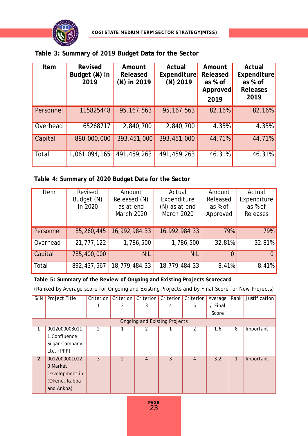

| Item      | Revised<br>Budget $(M)$ in<br>2019 | Amount<br>Released<br>$(M)$ in 2019 | Actual<br><b>Expenditure</b><br>$(M)$ 2019 | Amount<br>Released<br>as % of<br>Approved<br>2019 | Actual<br>Expenditure<br>as % of<br>Releases<br>2019 |
|-----------|------------------------------------|-------------------------------------|--------------------------------------------|---------------------------------------------------|------------------------------------------------------|
| Personnel | 115825448                          | 95, 167, 563                        | 95, 167, 563                               | 82.16%                                            | 82.16%                                               |
| Overhead  | 65268717                           | 2,840,700                           | 2,840,700                                  | 4.35%                                             | 4.35%                                                |
| Capital   | 880,000,000                        | 393,451,000                         | 393,451,000                                | 44.71%                                            | 44.71%                                               |
| Total     | 1,061,094,165                      | 491,459,263                         | 491,459,263                                | 46.31%                                            | 46.31%                                               |

### **Table 3: Summary of 2019 Budget Data for the Sector**

**Table 4: Summary of 2020 Budget Data for the Sector**

| Item      | Revised<br>Budget (N)<br>in 2020 | Amount<br>Released (N)<br>as at end<br><b>March 2020</b> | Actual<br>Expenditure<br>(N) as at end<br>March 2020 | Amount<br>Released<br>as % of<br>Approved | Actual<br>Expenditure<br>as % of<br>Releases |
|-----------|----------------------------------|----------------------------------------------------------|------------------------------------------------------|-------------------------------------------|----------------------------------------------|
| Personnel | 85,260,445                       | 16,992,984.33                                            | 16,992,984.33                                        | 79%                                       | 79%                                          |
| Overhead  | 21,777,122                       | 1,786,500                                                | 1,786,500                                            | 32.81%                                    | 32.81%                                       |
| Capital   | 785,400,000                      | <b>NIL</b>                                               | <b>NIL</b>                                           |                                           |                                              |
| Total     | 892, 437, 567                    | 18,779,484.33                                            | 18,779,484.33                                        | 8.41%                                     | 8.41%                                        |

**Table 5: Summary of the Review of Ongoing and Existing Projects Scorecard**

(Ranked by Average score for Ongoing and Existing Projects and by Final Score for New Projects)

| S/N | Project Title  | Criterion      |               | Criterion   Criterion   Criterion |   | Criterion      | Average | Rank         | Justification |
|-----|----------------|----------------|---------------|-----------------------------------|---|----------------|---------|--------------|---------------|
|     |                |                | 2             | 3                                 | 4 | 5              | / Final |              |               |
|     |                |                |               |                                   |   |                | Score   |              |               |
|     |                |                |               | Ongoing and Existing Projects     |   |                |         |              |               |
|     | 0012000003011  | $\mathfrak{D}$ |               |                                   |   | 2              | 1.6     | 8            | Important     |
|     | 1 Confluence   |                |               |                                   |   |                |         |              |               |
|     | Sugar Company  |                |               |                                   |   |                |         |              |               |
|     | Ltd. (PPP)     |                |               |                                   |   |                |         |              |               |
| 2   | 0012000001012  | 3              | $\mathcal{P}$ | $\overline{4}$                    | 3 | $\overline{4}$ | 3.2     | $\mathbf{1}$ | Important     |
|     | 0 Market       |                |               |                                   |   |                |         |              |               |
|     | Development in |                |               |                                   |   |                |         |              |               |
|     | (Okene, Kabba  |                |               |                                   |   |                |         |              |               |
|     | and Ankpa)     |                |               |                                   |   |                |         |              |               |

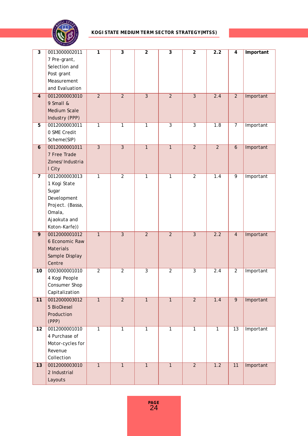

| $\overline{3}$  | 0013000002011<br>7 Pre-grant,<br>Selection and<br>Post grant<br>Measurement<br>and Evaluation                        | 1              | $\overline{3}$ | $\overline{2}$ | $\overline{3}$ | $\overline{2}$ | 2.2            | $\overline{4}$  | Important |
|-----------------|----------------------------------------------------------------------------------------------------------------------|----------------|----------------|----------------|----------------|----------------|----------------|-----------------|-----------|
| $\overline{4}$  | 0012000003010<br>9 Small &<br>Medium Scale<br>Industry (PPP)                                                         | $\overline{2}$ | $\overline{2}$ | $\overline{3}$ | $\overline{2}$ | $\overline{3}$ | 2.4            | $\overline{2}$  | Important |
| 5               | 0012000003011<br>0 SME Credit<br>Scheme(SIP)                                                                         | 1              | 1              | 1              | $\overline{3}$ | $\overline{3}$ | 1.8            | $\overline{7}$  | Important |
| 6               | 0012000001011<br>7 Free Trade<br>Zones/Industria<br>I City                                                           | $\overline{3}$ | $\overline{3}$ | $\mathbf{1}$   | $\mathbf{1}$   | $\overline{2}$ | $\overline{2}$ | 6               | Important |
| $\overline{7}$  | 0012000003013<br>1 Kogi State<br>Sugar<br>Development<br>Project. (Bassa,<br>Omala,<br>Ajaokuta and<br>Koton-Karfe)) | 1              | $\overline{2}$ | $\overline{1}$ | 1              | $\overline{2}$ | 1.4            | 9               | Important |
| 9               | 0012000001012<br>6 Economic Raw<br><b>Materials</b><br>Sample Display<br>Centre                                      | $\mathbf{1}$   | $\overline{3}$ | $\overline{2}$ | $\overline{2}$ | $\overline{3}$ | 2.2            | $\overline{4}$  | Important |
| 10              | 0003000001010<br>4 Kogi People<br>Consumer Shop<br>Capitalization                                                    | $\overline{2}$ | $\overline{2}$ | $\overline{3}$ | $\overline{2}$ | $\overline{3}$ | 2.4            | $\overline{2}$  | Important |
| 11              | 0012000003012<br>5 BioDiesel<br>Production<br>(PPP)                                                                  | $\overline{1}$ | $\overline{2}$ | $\overline{1}$ | $\overline{1}$ | $\overline{2}$ | 1.4            | $\overline{9}$  | Important |
| $\overline{12}$ | 0012000001010<br>4 Purchase of<br>Motor-cycles for<br>Revenue<br>Collection                                          | 1              | $\overline{1}$ | $\overline{1}$ | 1              | $\overline{1}$ | $\overline{1}$ | $\overline{13}$ | Important |
| 13              | 0012000003010<br>2 Industrial<br>Layouts                                                                             | $\overline{1}$ | $\mathbf{1}$   | $\overline{1}$ | $\mathbf{1}$   | $\overline{2}$ | 1.2            | $\overline{11}$ | Important |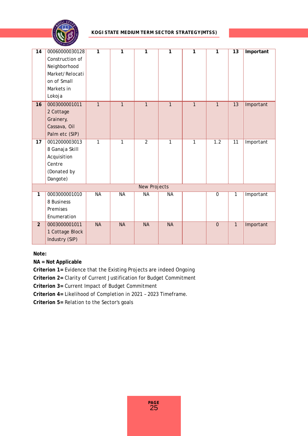

| $\overline{14}$ | 00060000030128  | $\overline{1}$ | 1            | 1                   | 1            | 1            | $\mathbf{1}$   | $\overline{13}$ | Important |
|-----------------|-----------------|----------------|--------------|---------------------|--------------|--------------|----------------|-----------------|-----------|
|                 | Construction of |                |              |                     |              |              |                |                 |           |
|                 | Neighborhood    |                |              |                     |              |              |                |                 |           |
|                 | Market/Relocati |                |              |                     |              |              |                |                 |           |
|                 | on of Small     |                |              |                     |              |              |                |                 |           |
|                 | Markets in      |                |              |                     |              |              |                |                 |           |
|                 | Lokoja          |                |              |                     |              |              |                |                 |           |
| 16              | 0003000001011   | $\mathbf{1}$   | $\mathbf{1}$ | $\mathbf{1}$        | $\mathbf{1}$ | $\mathbf{1}$ | $\mathbf{1}$   | 13              | Important |
|                 | 2 Cottage       |                |              |                     |              |              |                |                 |           |
|                 | Grainery,       |                |              |                     |              |              |                |                 |           |
|                 | Cassava, Oil    |                |              |                     |              |              |                |                 |           |
|                 | Palm etc (SIP)  |                |              |                     |              |              |                |                 |           |
| 17              | 0012000003013   | $\mathbf{1}$   | 1            | $\overline{2}$      | 1            | 1            | 1.2            | 11              | Important |
|                 | 8 Ganaja Skill  |                |              |                     |              |              |                |                 |           |
|                 | Acquisition     |                |              |                     |              |              |                |                 |           |
|                 | Centre          |                |              |                     |              |              |                |                 |           |
|                 | (Donated by     |                |              |                     |              |              |                |                 |           |
|                 | Dangote)        |                |              |                     |              |              |                |                 |           |
|                 |                 |                |              | <b>New Projects</b> |              |              |                |                 |           |
| 1               | 0003000001010   | <b>NA</b>      | <b>NA</b>    | <b>NA</b>           | <b>NA</b>    |              | $\mathbf 0$    | 1               | Important |
|                 | 8 Business      |                |              |                     |              |              |                |                 |           |
|                 | Premises        |                |              |                     |              |              |                |                 |           |
|                 | Enumeration     |                |              |                     |              |              |                |                 |           |
| $\overline{2}$  | 0003000001011   | <b>NA</b>      | <b>NA</b>    | <b>NA</b>           | <b>NA</b>    |              | $\overline{0}$ | $\mathbf{1}$    | Important |
|                 | 1 Cottage Block |                |              |                     |              |              |                |                 |           |
|                 | Industry (SIP)  |                |              |                     |              |              |                |                 |           |

**Note:**

**NA = Not Applicable**

**Criterion 1=** Evidence that the Existing Projects are indeed Ongoing

**Criterion 2=** Clarity of Current Justification for Budget Commitment

**Criterion 3=** Current Impact of Budget Commitment

**Criterion 4=** Likelihood of Completion in 2021 – 2023 Timeframe.

**Criterion 5=** Relation to the Sector's goals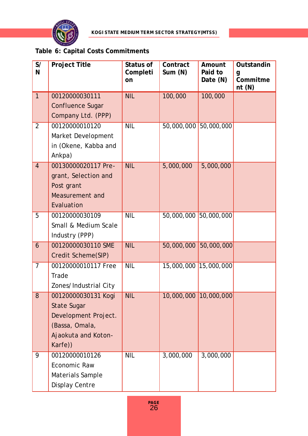

**Table 6: Capital Costs Commitments**

| S/<br>N        | Project Title                                                                                                  | Status of<br>Completi<br>on | Contract<br>Sum (N)   | Amount<br>Paid to<br>Date (N) | Outstandin<br>g<br>Commitme<br>nt $(N)$ |
|----------------|----------------------------------------------------------------------------------------------------------------|-----------------------------|-----------------------|-------------------------------|-----------------------------------------|
| $\mathbf{1}$   | 00120000030111<br>Confluence Sugar<br>Company Ltd. (PPP)                                                       | <b>NIL</b>                  | 100,000               | 100,000                       |                                         |
| $\overline{2}$ | 00120000010120<br>Market Development<br>in (Okene, Kabba and<br>Ankpa)                                         | NIL                         | 50,000,000 50,000,000 |                               |                                         |
| $\overline{4}$ | 00130000020117 Pre-<br>grant, Selection and<br>Post grant<br>Measurement and<br>Evaluation                     | <b>NIL</b>                  | 5,000,000             | 5,000,000                     |                                         |
| 5              | 00120000030109<br>Small & Medium Scale<br>Industry (PPP)                                                       | <b>NIL</b>                  | 50,000,000 50,000,000 |                               |                                         |
| 6              | 00120000030110 SME<br>Credit Scheme(SIP)                                                                       | <b>NIL</b>                  | 50,000,000            | 50,000,000                    |                                         |
| $\overline{7}$ | 00120000010117 Free<br>Trade<br>Zones/Industrial City                                                          | NIL                         | 15,000,000 15,000,000 |                               |                                         |
| 8              | 00120000030131 Kogi<br>State Sugar<br>Development Project.<br>(Bassa, Omala,<br>Ajaokuta and Koton-<br>Karfe)) | <b>NIL</b>                  | 10,000,000 10,000,000 |                               |                                         |
| 9              | 00120000010126<br>Economic Raw<br>Materials Sample<br><b>Display Centre</b>                                    | <b>NIL</b>                  | 3,000,000             | 3,000,000                     |                                         |

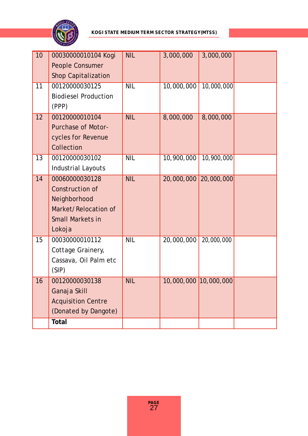

| 10 | 00030000010104 Kogi<br>People Consumer<br>Shop Capitalization                                                  | <b>NIL</b> | 3,000,000             | 3,000,000  |  |
|----|----------------------------------------------------------------------------------------------------------------|------------|-----------------------|------------|--|
| 11 | 00120000030125<br><b>Biodiesel Production</b><br>(PPP)                                                         | <b>NIL</b> | 10,000,000            | 10,000,000 |  |
| 12 | 00120000010104<br>Purchase of Motor-<br>cycles for Revenue<br>Collection                                       | <b>NIL</b> | 8,000,000             | 8,000,000  |  |
| 13 | 00120000030102<br>Industrial Layouts                                                                           | <b>NIL</b> | 10,900,000            | 10,900,000 |  |
| 14 | 00060000030128<br>Construction of<br>Neighborhood<br>Market/Relocation of<br><b>Small Markets in</b><br>Lokoja | <b>NIL</b> | 20,000,000            | 20,000,000 |  |
| 15 | 00030000010112<br>Cottage Grainery,<br>Cassava, Oil Palm etc<br>(SIP)                                          | <b>NIL</b> | 20,000,000            | 20,000,000 |  |
| 16 | 00120000030138<br>Ganaja Skill<br><b>Acquisition Centre</b><br>(Donated by Dangote)                            | <b>NIL</b> | 10,000,000 10,000,000 |            |  |
|    | Total                                                                                                          |            |                       |            |  |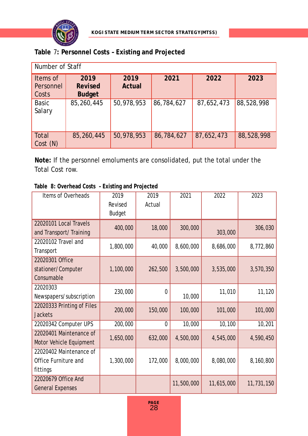

| Number of Staff                |                                  |                |            |            |            |  |  |  |
|--------------------------------|----------------------------------|----------------|------------|------------|------------|--|--|--|
| Items of<br>Personnel<br>Costs | 2019<br>Revised<br><b>Budget</b> | 2019<br>Actual | 2021       | 2022       | 2023       |  |  |  |
| <b>Basic</b><br>Salary         | 85,260,445                       | 50,978,953     | 86,784,627 | 87,652,473 | 88,528,998 |  |  |  |
| Total<br>Cost(N)               | 85,260,445                       | 50,978,953     | 86,784,627 | 87,652,473 | 88,528,998 |  |  |  |

**Table** 7**: Personnel Costs – Existing and Projected**

**Note:** If the personnel emoluments are consolidated, put the total under the Total Cost row.

|  |  |  | Table 8: Overhead Costs - Existing and Projected |
|--|--|--|--------------------------------------------------|
|  |  |  |                                                  |

| Items of Overheads         | 2019          | 2019           | 2021       | 2022       | 2023       |
|----------------------------|---------------|----------------|------------|------------|------------|
|                            | Revised       | Actual         |            |            |            |
|                            | <b>Budget</b> |                |            |            |            |
| 22020101 Local Travels     | 400,000       | 18,000         | 300,000    |            | 306,030    |
| and Transport/Training     |               |                |            | 303,000    |            |
| 22020102 Travel and        | 1,800,000     | 40,000         | 8,600,000  | 8,686,000  | 8,772,860  |
| Transport                  |               |                |            |            |            |
| 22020301 Office            |               |                |            |            |            |
| stationer/Computer         | 1,100,000     | 262,500        | 3,500,000  | 3,535,000  | 3,570,350  |
| Consumable                 |               |                |            |            |            |
| 22020303                   | 230,000       | $\theta$       |            | 11,010     | 11,120     |
| Newspapers/subscription    |               |                | 10,000     |            |            |
| 22020333 Printing of Files | 200,000       | 150,000        | 100,000    | 101,000    | 101,000    |
| <b>Jackets</b>             |               |                |            |            |            |
| 22020342 Computer UPS      | 200,000       | $\overline{0}$ | 10,000     | 10,100     | 10,201     |
| 22020401 Maintenance of    | 1,650,000     | 632,000        | 4,500,000  | 4,545,000  | 4,590,450  |
| Motor Vehicle Equipment    |               |                |            |            |            |
| 22020402 Maintenance of    |               |                |            |            |            |
| Office Furniture and       | 1,300,000     | 172,000        | 8,000,000  | 8,080,000  | 8,160,800  |
| fittings                   |               |                |            |            |            |
| 22020679 Office And        |               |                | 11,500,000 | 11,615,000 | 11,731,150 |
| <b>General Expenses</b>    |               |                |            |            |            |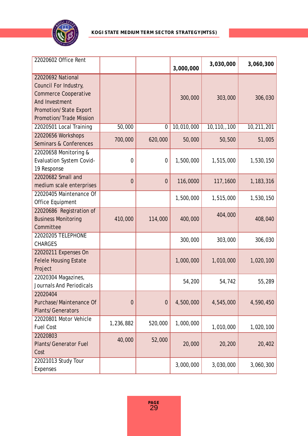

| 22020602 Office Rent                                                                                                                             |              |             | 3,000,000  | 3,030,000    | 3,060,300    |
|--------------------------------------------------------------------------------------------------------------------------------------------------|--------------|-------------|------------|--------------|--------------|
| 22020692 National<br>Council For Industry,<br><b>Commerce Cooperative</b><br>And Investment<br>Promotion/State Export<br>Promotion/Trade Mission |              |             | 300,000    | 303,000      | 306,030      |
| 22020501 Local Training                                                                                                                          | 50,000       | $\mathbf 0$ | 10,010,000 | 10, 110, 100 | 10, 211, 201 |
| 22020656 Workshops<br>Seminars & Conferences                                                                                                     | 700,000      | 620,000     | 50,000     | 50,500       | 51,005       |
| 22020658 Monitoring &<br>Evaluation System Covid-<br>19 Response                                                                                 | $\mathbf 0$  | $\mathbf 0$ | 1,500,000  | 1,515,000    | 1,530,150    |
| 22020682 Small and<br>medium scale enterprises                                                                                                   | $\mathbf{0}$ | $\mathbf 0$ | 116,0000   | 117,1600     | 1,183,316    |
| 22020405 Maintenance Of<br>Office Equipment                                                                                                      |              |             | 1,500,000  | 1,515,000    | 1,530,150    |
| 22020686 Registration of<br><b>Business Monitoring</b><br>Committee                                                                              | 410,000      | 114,000     | 400,000    | 404,000      | 408,040      |
| 22020205 TELEPHONE<br><b>CHARGES</b>                                                                                                             |              |             | 300,000    | 303,000      | 306,030      |
| 22020211 Expenses On<br><b>Felele Housing Estate</b><br>Project                                                                                  |              |             | 1,000,000  | 1,010,000    | 1,020,100    |
| 22020304 Magazines,<br>Journals And Periodicals                                                                                                  |              |             | 54,200     | 54,742       | 55,289       |
| 22020404<br>Purchase/Maintenance Of<br><b>Plants/Generators</b>                                                                                  | $\theta$     | $\theta$    | 4,500,000  | 4,545,000    | 4,590,450    |
| 22020801 Motor Vehicle<br><b>Fuel Cost</b>                                                                                                       | 1,236,882    | 520,000     | 1,000,000  | 1,010,000    | 1,020,100    |
| 22020803<br>Plants/Generator Fuel<br>Cost                                                                                                        | 40,000       | 52,000      | 20,000     | 20,200       | 20,402       |
| 22021013 Study Tour<br>Expenses                                                                                                                  |              |             | 3,000,000  | 3,030,000    | 3,060,300    |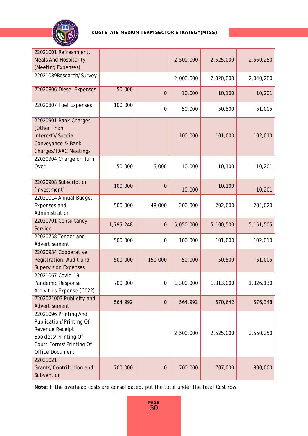

| 22021001 Refreshment,<br><b>Meals And Hospitality</b><br>(Meeting Expenses)                                                               |           |                  | 2,500,000 | 2,525,000 | 2,550,250   |
|-------------------------------------------------------------------------------------------------------------------------------------------|-----------|------------------|-----------|-----------|-------------|
| 22021089Research/Survey                                                                                                                   |           |                  | 2,000,000 | 2,020,000 | 2,040,200   |
| 22020806 Diesel Expenses                                                                                                                  | 50,000    | $\overline{0}$   | 10,000    | 10,100    | 10,201      |
| 22020807 Fuel Expenses                                                                                                                    | 100,000   | 0                | 50,000    | 50,500    | 51,005      |
| 22020901 Bank Charges<br>(Other Than<br>Interest)/Special<br>Conveyance & Bank<br><b>Charges/FAAC Meetings</b>                            |           |                  | 100,000   | 101,000   | 102,010     |
| 22020904 Charge on Turn<br>Over                                                                                                           | 50,000    | 6,000            | 10,000    | 10,100    | 10,201      |
| 22020908 Subscription<br>(Investment)                                                                                                     | 100,000   | $\overline{0}$   | 10,000    | 10,100    | 10,201      |
| 22021014 Annual Budget<br>Expenses and<br>Administration                                                                                  | 500,000   | 48,000           | 200,000   | 202,000   | 204,020     |
| 22020701 Consultancy<br>Service                                                                                                           | 1,795,248 | $\overline{0}$   | 5,050,000 | 5,100,500 | 5, 151, 505 |
| 22020758 Tender and<br>Advertisement                                                                                                      | 500,000   | 0                | 100,000   | 101,000   | 102,010     |
| 22020934 Cooperative<br>Registration, Audit and<br><b>Supervision Expenses</b>                                                            | 500,000   | 150,000          | 50,000    | 50,500    | 51,005      |
| 22021067 Covid-19<br>Pandemic Response<br>Activities Expense (C022)                                                                       | 700,000   | 0                | 1,300,000 | 1,313,000 | 1,326,130   |
| 2202021003 Publicity and<br>Advertisement                                                                                                 | 564,992   | $\overline{0}$   | 564,992   | 570,642   | 576,348     |
| 22021096 Printing And<br>Publication/Printing Of<br>Revenue Receipt<br>Booklets/Printing Of<br>Court Forms/Printing Of<br>Office Document |           |                  | 2,500,000 | 2,525,000 | 2,550,250   |
| 22021021<br>Grants/Contribution and<br>Subvention                                                                                         | 700,000   | $\boldsymbol{0}$ | 700,000   | 707,000   | 800,000     |

**Note:** If the overhead costs are consolidated, put the total under the Total Cost row.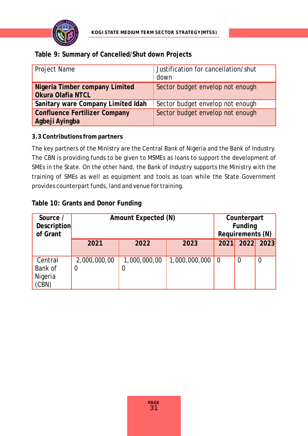

| Project Name                                           | Justification for cancellation/shut<br>down |
|--------------------------------------------------------|---------------------------------------------|
| Nigeria Timber company Limited<br>Okura Olafia NTCL    | Sector budget envelop not enough            |
| Sanitary ware Company Limited Idah                     | Sector budget envelop not enough            |
| <b>Confluence Fertilizer Company</b><br>Agbeji Ayingba | Sector budget envelop not enough            |

### **3.3 Contributions from partners**

The key partners of the Ministry are the Central Bank of Nigeria and the Bank of Industry. The CBN is providing funds to be given to MSMEs as loans to support the development of SMEs in the State. On the other hand, the Bank of Industry supports the Ministry with the training of SMEs as well as equipment and tools as loan while the State Government provides counterpart funds, land and venue for training.

### **Table 10: Grants and Donor Funding**

| Source /<br><b>Description</b><br>of Grant | Amount Expected (N) | Counterpart<br>Funding<br>Requirements (N) |               |   |  |                |  |  |
|--------------------------------------------|---------------------|--------------------------------------------|---------------|---|--|----------------|--|--|
|                                            | 2021                | 2022                                       | 2023          |   |  | 2021 2022 2023 |  |  |
| Central<br>Bank of<br>Nigeria<br>(CBN)     | 2,000,000,00<br>0   | 1,000,000,00                               | 1,000,000,000 | 0 |  | 0              |  |  |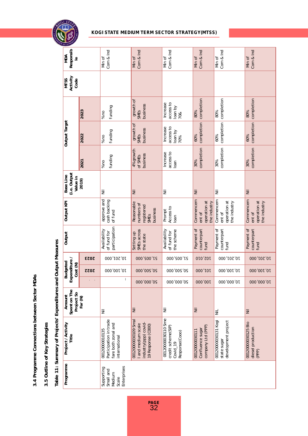3.4 Programme Connections between Sector MDAs **3.4 Programme Connections between Sector MDAs**

3.5 Outline of Key Strategies **3.5 Outline of Key Strategies** Table 11: Summary of Projects' Expenditures and Output Measures **Table 11: Summary of Projects' Expenditures and Output Measures**

| Responsib<br><b>NDA</b><br>$\overline{\circ}$   |       | Com & Ind<br>Min of                                                             | Com & Ind<br>Min of                                                                   | Com & Ind<br>Min of                                                      | Com & Ind<br>Min of                                     | Com & Ind<br>Min of                                       | Com & Ind<br>Min of                                 |
|-------------------------------------------------|-------|---------------------------------------------------------------------------------|---------------------------------------------------------------------------------------|--------------------------------------------------------------------------|---------------------------------------------------------|-----------------------------------------------------------|-----------------------------------------------------|
| Activity<br><b>MTSS</b><br>Code                 |       |                                                                                 |                                                                                       |                                                                          |                                                         |                                                           |                                                     |
|                                                 | 2023  | funding<br>$%$ no                                                               | growth of<br>SMEs<br>business                                                         | access to<br>Increase<br>loan by<br>70&                                  | completion<br>80%                                       | completion<br>80%                                         | completion<br>80%                                   |
| Output Target                                   | 2022  | funding<br>$\frac{96}{6}$ no                                                    | growth of<br>SMEs<br>business                                                         | access to<br>Increase<br>loan by<br>70%                                  | completion<br>60%                                       | completion<br>60%                                         | completion<br>60%                                   |
|                                                 | 2021  | funding<br>$\frac{96}{6}$ no                                                    | 4% growth<br>business<br>of SMEs                                                      | access to<br>Increase<br>Ioan                                            | completion<br>30%                                       | completion<br>$30\%$                                      | completion<br>30%                                   |
| (i.e. Output<br>Base Line<br>Value in           | 2019) | Ξ                                                                               | Ξ                                                                                     | Ξ                                                                        | Ξ                                                       | Ξ                                                         | $\equiv$                                            |
| Output KPI                                      |       | approve and<br>cash backing<br>of fund                                          | Reasonable<br>numbers of<br>registered<br>business<br><b>SMES</b>                     | Access to<br>Prompt<br>loan                                              | Commencem<br>operation at<br>the industry<br>ent of     | Commencem<br>operation at<br>the industry<br>ent of       | Commencem<br>operation at<br>the industry<br>ent of |
| Output                                          |       | participation<br>Availability<br>of fund for                                    | SMEs across<br>Setting up<br>the state                                                | Availability<br>the scheme<br>of fund for                                | Payment of<br>counterpart<br>fund                       | Payment of<br>counterpart<br>fund                         | Payment of<br>counterpart<br>fund                   |
|                                                 | 2023  | 10,201,000                                                                      | 000'S00'LS                                                                            | 000'900'L9                                                               | 102,010                                                 | 10,201,000                                                | 10,201,000                                          |
| Expenditure<br><b>Budgeted</b><br>Cost (N)      | 2022  | 000'001'01                                                                      | 000'009'09                                                                            | 000'009'09                                                               | 000'LOL                                                 | 000'00L'0L                                                | 000'00L'0L                                          |
|                                                 |       |                                                                                 | 000'000'09                                                                            | 000'000'09                                                               | 000'00L                                                 | 000'000'0L                                                | 000'000'0L                                          |
| Spent on The<br>Project So<br>Far (N)<br>Amount |       | Ξ                                                                               | Ξ                                                                                     | Ξ                                                                        | Ξ                                                       | $\equiv$                                                  | $\bar{z}$                                           |
| Project / Activity<br>Title                     |       | Participation in trade<br>fare both zonal and<br>00120000010135<br>nternational | 00120000030109 Smal<br>industry(ppp) covid-<br>and medium scale<br>19 Response (C000) | 00120000030110 Sme<br>credit scheme(SIP)<br>Response(Cooo)<br>$Covid_19$ | company Ltd (PPP)<br>Confluence sugar<br>00120000030111 | 00120000030131 Kogi<br>development project<br>state sugar | 00120000030125 Bio<br>diesel production<br>(PPP)    |
| Programme                                       |       | Enterprises<br>Supporting<br>Small and<br>Medium<br>Scale                       |                                                                                       |                                                                          |                                                         |                                                           |                                                     |

#### **KOGI STATE MEDIUM TERM SECTOR STRATEGY(MTSS)**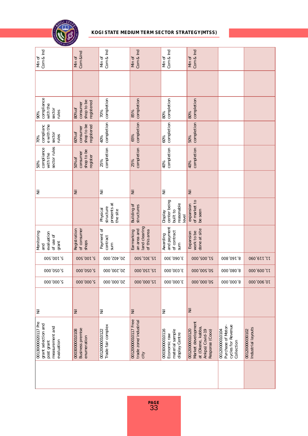

| Com & Ind<br>Min of                                                                      | Min of<br>Com &lnd                                       | Min of<br>Com & Ind                              | Min of<br>Com & Ind                                        | Com & Ind<br>Min of                                                 | Min of<br>Com & Ind                                                                            |                                                                          |                                      |
|------------------------------------------------------------------------------------------|----------------------------------------------------------|--------------------------------------------------|------------------------------------------------------------|---------------------------------------------------------------------|------------------------------------------------------------------------------------------------|--------------------------------------------------------------------------|--------------------------------------|
|                                                                                          |                                                          |                                                  |                                                            |                                                                     |                                                                                                |                                                                          |                                      |
| compliance<br>with the<br>sector<br>rules<br>90%                                         | shop to be<br>registered<br>consumer<br>80% of           | completion<br>70%                                | completion<br>85%                                          | completion<br>80%                                                   | completion<br>$80\%$                                                                           |                                                                          |                                      |
| e with the<br>complianc<br>sector<br>rules<br>70%                                        | shop to be<br>registered<br>consumer<br>60% of           | completion<br>40%                                | completion<br>65%                                          | completion<br>60%                                                   | completion<br>50%                                                                              |                                                                          |                                      |
| sector rules<br>compliance<br>with the<br>50%                                            | shop to be<br>consumer<br>register<br>50% of             | completion<br>25%                                | completion<br>25%                                          | completion<br>40%                                                   | completion<br>40%                                                                              |                                                                          |                                      |
| Ξ                                                                                        | E                                                        | $\bar{z}$                                        | $\bar{z}$                                                  | Ξ                                                                   | $\overline{\overline{z}}$                                                                      |                                                                          |                                      |
|                                                                                          |                                                          | presents at<br>structure<br>Physical<br>the site | Building of<br>structures                                  | center being<br>reasonable<br>built to<br>Veldsig<br>level          | of market to<br>expansion<br>be seen                                                           |                                                                          |                                      |
| Monitoring<br>evaluation<br>of use of<br>grant<br>pue                                    | of consumer<br>Registration<br>shops                     | Payment of<br>contract<br>sum                    | land clearing<br>an area and<br>of this area<br>Earmarking | and payment<br>of contract<br>Awarding<br>sum                       | done at site<br>work to be<br>Expansion                                                        |                                                                          |                                      |
| 5,100,500                                                                                | 5,100,500                                                | 20,402,000                                       | 15,301,500                                                 | 3,060,300                                                           | 000'S00'LS                                                                                     | 008'09L'8                                                                | 060'6LL'LL                           |
| 000'090'9                                                                                | 000'090'9                                                | 000'007'07                                       | 000'09L'9L                                                 | 3,030,000                                                           | 000'009'09                                                                                     | 000'080'8                                                                | 000'600'LL                           |
| 000'000'S                                                                                | 000'000'S                                                | 000'000'07                                       | 000'000'SL                                                 | 000,000,8                                                           | 000'000'09                                                                                     | 000'000'8                                                                | 000'006'0L                           |
| Ξ                                                                                        | E                                                        | Ξ                                                | $\overline{\overline{z}}$                                  | Ξ                                                                   | $\bar{z}$                                                                                      |                                                                          |                                      |
| 00130000020117 Pre<br>grant selection and<br>measurement and<br>evaluation<br>post grant | <b>Business premise</b><br>00030000010108<br>enumeration | Trade fair complex<br>00120000010122             | 00120000010117 Free<br>trade zone/industrial<br>city       | 00030000010116<br>material sample<br>display Centre<br>Economic raw | Market development<br>at (Okene, kabba<br>00120000010120<br>Ankpa) Covid-19<br>Response (Cooo) | cycles for Revenue<br>Purchase of Motor-<br>00120000010104<br>Collection | Industrial layouts<br>00120000030102 |
|                                                                                          |                                                          |                                                  |                                                            |                                                                     |                                                                                                |                                                                          |                                      |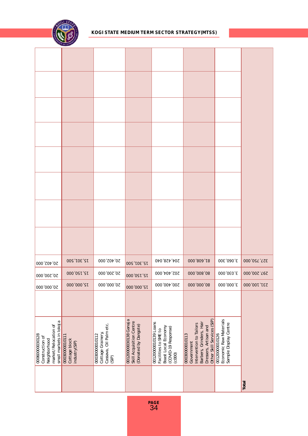| 20' 402'000                                                                                          | 15,301,500                                        | 20,402,000                                                             | 15,301,500                                                                | 104,428,040                                                                                          | 000'809'L8                                                                                                                                | 3,060,300                                                         | 327,750,000 |
|------------------------------------------------------------------------------------------------------|---------------------------------------------------|------------------------------------------------------------------------|---------------------------------------------------------------------------|------------------------------------------------------------------------------------------------------|-------------------------------------------------------------------------------------------------------------------------------------------|-------------------------------------------------------------------|-------------|
| 000'007'07                                                                                           | 15,150,000                                        | 20,200,000                                                             | 15,150,000                                                                | 202,404,000                                                                                          | 000'008'08                                                                                                                                | 3'030'000                                                         | 297.200,000 |
| 000'000'07                                                                                           | 000'000'SL                                        | 000'000'07                                                             | 000'000'SL                                                                | 200,400,000                                                                                          | 000'000'08                                                                                                                                | 000'000'E                                                         | 231,100,000 |
|                                                                                                      |                                                   |                                                                        |                                                                           |                                                                                                      |                                                                                                                                           |                                                                   |             |
| small markets in lokoja<br>market/Relocation of<br>00060000030128<br>Construction of<br>Neighborhood | 000300000010111<br>Cottage block<br>industry(SIP) | Cassava, Oil Palm etc.<br>Cottage Grainery,<br>00030000010112<br>(SIP) | 00120000030138 Ganaja<br>Skill Acquisition Centre<br>(Donated by Dangote) | 00120000010139 Loans<br>Boast Local Economy<br>(COVID-19 Response)<br>Facilities to SME to<br>(0000) | Other Skill Services (SIP)<br>Barbers, Grinders, Hair<br>Intervention to Tailors<br>Dressers, Artisan and<br>00030000010113<br>Government | Economic Raw Materials<br>Sample Display Centre<br>00120000010126 |             |
|                                                                                                      |                                                   |                                                                        |                                                                           |                                                                                                      |                                                                                                                                           |                                                                   | Total       |

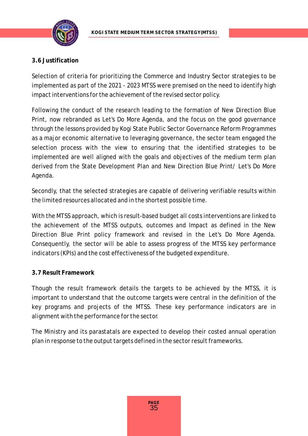

### **3.6 Justification**

Selection of criteria for prioritizing the Commerce and Industry Sector strategies to be implemented as part of the 2021 - 2023 MTSS were premised on the need to identify high impact interventions for the achievement of the revised sector policy.

Following the conduct of the research leading to the formation of New Direction Blue Print, now rebranded as Let's Do More Agenda, and the focus on the good governance through the lessons provided by Kogi State Public Sector Governance Reform Programmes as a major economic alternative to leveraging governance, the sector team engaged the selection process with the view to ensuring that the identified strategies to be implemented are well aligned with the goals and objectives of the medium term plan derived from the State Development Plan and New Direction Blue Print/ Let's Do More Agenda.

Secondly, that the selected strategies are capable of delivering verifiable results within the limited resources allocated and in the shortest possible time.

With the MTSS approach, which is result-based budget all costs interventions are linked to the achievement of the MTSS outputs, outcomes and Impact as defined in the New Direction Blue Print policy framework and revised in the Let's Do More Agenda. Consequently, the sector will be able to assess progress of the MTSS key performance indicators (KPIs) and the cost effectiveness of the budgeted expenditure.

### **3.7 Result Framework**

Though the result framework details the targets to be achieved by the MTSS, it is important to understand that the outcome targets were central in the definition of the key programs and projects of the MTSS. These key performance indicators are in alignment with the performance for the sector.

The Ministry and its parastatals are expected to develop their costed annual operation plan in response to the output targets defined in the sector result frameworks.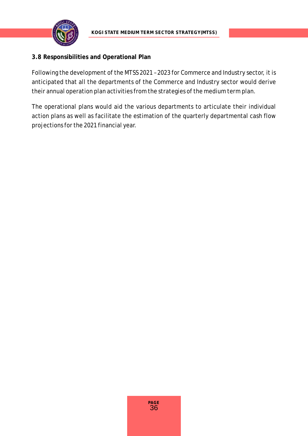

### **3.8 Responsibilities and Operational Plan**

Following the development of the MTSS 2021 – 2023 for Commerce and Industry sector, it is anticipated that all the departments of the Commerce and Industry sector would derive their annual operation plan activities from the strategies of the medium term plan.

The operational plans would aid the various departments to articulate their individual action plans as well as facilitate the estimation of the quarterly departmental cash flow projections for the 2021 financial year.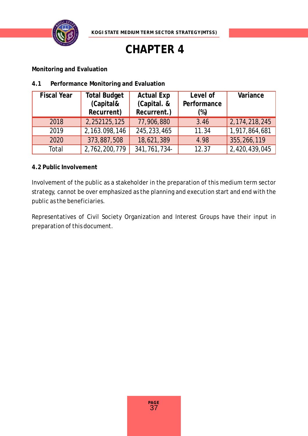

## **CHAPTER 4**

### **Monitoring and Evaluation**

#### **4.1 Performance Monitoring and Evaluation**

| <b>Fiscal Year</b> | <b>Total Budget</b> | <b>Actual Exp</b> | Level of    | Variance      |
|--------------------|---------------------|-------------------|-------------|---------------|
|                    | (Capital&           | (Capital. &       | Performance |               |
|                    | Recurrent)          | Recurrent.)       | $(\%)$      |               |
| 2018               | 2,252125,125        | 77,906,880        | 3.46        | 2,174,218,245 |
| 2019               | 2,163.098,146       | 245, 233, 465     | 11.34       | 1,917,864,681 |
| 2020               | 373,887,508         | 18,621,389        | 4.98        | 355,266,119   |
| Total              | 2,762,200,779       | 341, 761, 734-    | 12.37       | 2,420,439,045 |

#### **4.2 Public Involvement**

Involvement of the public as a stakeholder in the preparation of this medium term sector strategy, cannot be over emphasized as the planning and execution start and end with the public as the beneficiaries.

Representatives of Civil Society Organization and Interest Groups have their input in preparation of this document.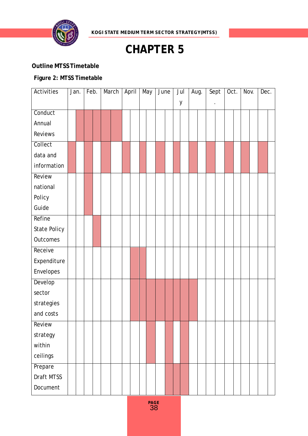



**CHAPTER 5**

### **Outline MTSS Timetable**

### **Figure 2: MTSS Timetable**

| Activities   | Jan. | Feb. |  | March | April | May | June |  | Jul | Aug. |  | Sept | Oct. | Nov. | Dec. |  |
|--------------|------|------|--|-------|-------|-----|------|--|-----|------|--|------|------|------|------|--|
|              |      |      |  |       |       |     |      |  | y   |      |  |      |      |      |      |  |
| Conduct      |      |      |  |       |       |     |      |  |     |      |  |      |      |      |      |  |
| Annual       |      |      |  |       |       |     |      |  |     |      |  |      |      |      |      |  |
| Reviews      |      |      |  |       |       |     |      |  |     |      |  |      |      |      |      |  |
| Collect      |      |      |  |       |       |     |      |  |     |      |  |      |      |      |      |  |
| data and     |      |      |  |       |       |     |      |  |     |      |  |      |      |      |      |  |
| information  |      |      |  |       |       |     |      |  |     |      |  |      |      |      |      |  |
| Review       |      |      |  |       |       |     |      |  |     |      |  |      |      |      |      |  |
| national     |      |      |  |       |       |     |      |  |     |      |  |      |      |      |      |  |
| Policy       |      |      |  |       |       |     |      |  |     |      |  |      |      |      |      |  |
| Guide        |      |      |  |       |       |     |      |  |     |      |  |      |      |      |      |  |
| Refine       |      |      |  |       |       |     |      |  |     |      |  |      |      |      |      |  |
| State Policy |      |      |  |       |       |     |      |  |     |      |  |      |      |      |      |  |
| Outcomes     |      |      |  |       |       |     |      |  |     |      |  |      |      |      |      |  |
| Receive      |      |      |  |       |       |     |      |  |     |      |  |      |      |      |      |  |
| Expenditure  |      |      |  |       |       |     |      |  |     |      |  |      |      |      |      |  |
| Envelopes    |      |      |  |       |       |     |      |  |     |      |  |      |      |      |      |  |
| Develop      |      |      |  |       |       |     |      |  |     |      |  |      |      |      |      |  |
| sector       |      |      |  |       |       |     |      |  |     |      |  |      |      |      |      |  |
| strategies   |      |      |  |       |       |     |      |  |     |      |  |      |      |      |      |  |
| and costs    |      |      |  |       |       |     |      |  |     |      |  |      |      |      |      |  |
| Review       |      |      |  |       |       |     |      |  |     |      |  |      |      |      |      |  |
| strategy     |      |      |  |       |       |     |      |  |     |      |  |      |      |      |      |  |
| within       |      |      |  |       |       |     |      |  |     |      |  |      |      |      |      |  |
| ceilings     |      |      |  |       |       |     |      |  |     |      |  |      |      |      |      |  |
| Prepare      |      |      |  |       |       |     |      |  |     |      |  |      |      |      |      |  |
| Draft MTSS   |      |      |  |       |       |     |      |  |     |      |  |      |      |      |      |  |
| Document     |      |      |  |       |       |     |      |  |     |      |  |      |      |      |      |  |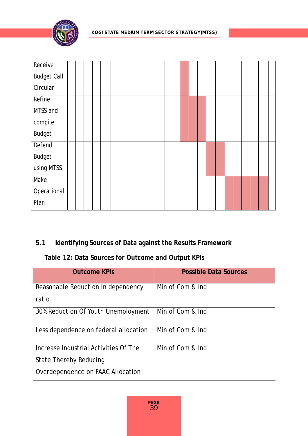

| Receive            |  |  |  |  |  |  |  |  |  |  |  |  |
|--------------------|--|--|--|--|--|--|--|--|--|--|--|--|
| <b>Budget Call</b> |  |  |  |  |  |  |  |  |  |  |  |  |
| Circular           |  |  |  |  |  |  |  |  |  |  |  |  |
| Refine             |  |  |  |  |  |  |  |  |  |  |  |  |
| MTSS and           |  |  |  |  |  |  |  |  |  |  |  |  |
| compile            |  |  |  |  |  |  |  |  |  |  |  |  |
| <b>Budget</b>      |  |  |  |  |  |  |  |  |  |  |  |  |
| Defend             |  |  |  |  |  |  |  |  |  |  |  |  |
| <b>Budget</b>      |  |  |  |  |  |  |  |  |  |  |  |  |
| using MTSS         |  |  |  |  |  |  |  |  |  |  |  |  |
| Make               |  |  |  |  |  |  |  |  |  |  |  |  |
| Operational        |  |  |  |  |  |  |  |  |  |  |  |  |
| Plan               |  |  |  |  |  |  |  |  |  |  |  |  |

## **5.1 Identifying Sources of Data against the Results Framework**

**Table 12: Data Sources for Outcome and Output KPIs**

| <b>Outcome KPIs</b>                   | <b>Possible Data Sources</b> |
|---------------------------------------|------------------------------|
| Reasonable Reduction in dependency    | Min of Com & Ind             |
| ratio                                 |                              |
| 30% Reduction Of Youth Unemployment   | Min of Com & Ind             |
| Less dependence on federal allocation | Min of Com & Ind             |
| Increase Industrial Activities Of The | Min of Com & Ind             |
| State Thereby Reducing                |                              |
| Overdependence on FAAC Allocation     |                              |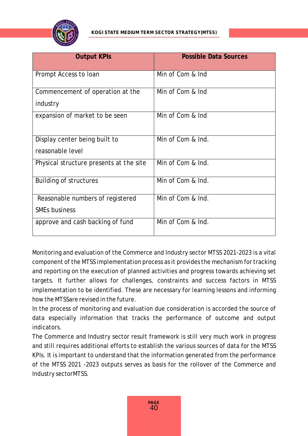

| <b>Output KPIs</b>                                | <b>Possible Data Sources</b> |
|---------------------------------------------------|------------------------------|
| Prompt Access to Ioan                             | Min of Com & Ind             |
| Commencement of operation at the<br>industry      | Min of Com & Ind             |
| expansion of market to be seen                    | Min of Com & Ind             |
| Display center being built to<br>reasonable level | Min of Com & Ind.            |
| Physical structure presents at the site           | Min of Com & Ind.            |
| Building of structures                            | Min of Com & Ind.            |
| Reasonable numbers of registered                  | Min of Com & Ind.            |
| <b>SMEs business</b>                              |                              |
| approve and cash backing of fund                  | Min of Com & Ind.            |

Monitoring and evaluation of the Commerce and Industry sector MTSS 2021-2023 is a vital component of the MTSS implementation process as it provides the mechanism for tracking and reporting on the execution of planned activities and progress towards achieving set targets. It further allows for challenges, constraints and success factors in MTSS implementation to be identified. These are necessary for learning lessons and informing how the MTSSare revised in the future.

In the process of monitoring and evaluation due consideration is accorded the source of data especially information that tracks the performance of outcome and output indicators.

The Commerce and Industry sector result framework is still very much work in progress and still requires additional efforts to establish the various sources of data for the MTSS KPIs. It is important to understand that the information generated from the performance of the MTSS 2021 -2023 outputs serves as basis for the rollover of the Commerce and Industry sectorMTSS.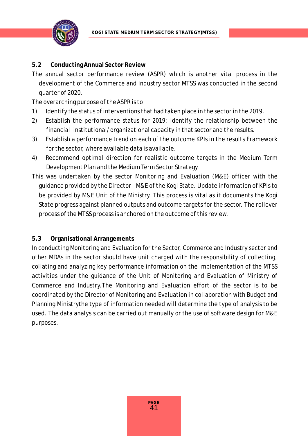

#### **5.2 Conducting Annual Sector Review**

The annual sector performance review (ASPR) which is another vital process in the development of the *Commerce and Industry sector* MTSS was conducted in the second quarter of 2020.

The overarching purpose of the ASPR is to

- 1) Identify the status of interventions that had taken place in the sector in the 2019.
- 2) Establish the performance status for 2019; identify the relationship between the financial institutional/organizational capacity in that sector and the results.
- 3) Establish a performance trend on each of the outcome KPIs in the results Framework for the sector, where available data is available.
- 4) Recommend optimal direction for realistic outcome targets in the Medium Term Development Plan and the Medium Term Sector Strategy.
- This was undertaken by the sector Monitoring and Evaluation (M&E) officer with the guidance provided by the Director – M&E of the Kogi State. Update information of KPIs to be provided by M&E Unit of the Ministry. This process is vital as it documents the Kogi State progress against planned outputs and outcome targets for the sector. The rollover process of the MTSS process is anchored on the outcome of this review.

### **5.3 Organisational Arrangements**

In conducting Monitoring and Evaluation for the Sector, Commerce and Industry sector and other MDAs in the sector should have unit charged with the responsibility of collecting, collating and analyzing key performance information on the implementation of the MTSS activities under the guidance of the Unit of Monitoring and Evaluation of Ministry of Commerce and Industry.The Monitoring and Evaluation effort of the sector is to be coordinated by the Director of Monitoring and Evaluation in collaboration with Budget and Planning Ministrythe type of information needed will determine the type of analysis to be used. The data analysis can be carried out manually or the use of software design for M&E purposes.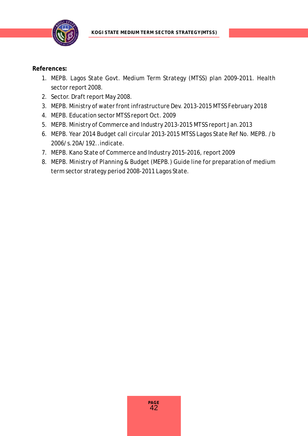

**References:**

- 1. MEPB. Lagos State Govt. Medium Term Strategy (MTSS) plan 2009-2011. Health sector report 2008.
- 2. Sector. Draft report May 2008.
- 3. MEPB. Ministry of water front infrastructure Dev. 2013-2015 MTSS February 2018
- 4. MEPB. Education sector MTSS report Oct. 2009
- 5. MEPB. Ministry of Commerce and Industry 2013-2015 MTSS report Jan.2013
- 6. MEPB. Year 2014 Budget call circular 2013-2015 MTSS Lagos State Ref No. MEPB. /b 2006/s.20A/192..indicate.
- 7. MEPB. Kano State of Commerce and Industry 2015-2016, report 2009
- 8. MEPB. Ministry of Planning & Budget (MEPB.) Guide line for preparation of medium term sector strategy period 2008-2011 Lagos State.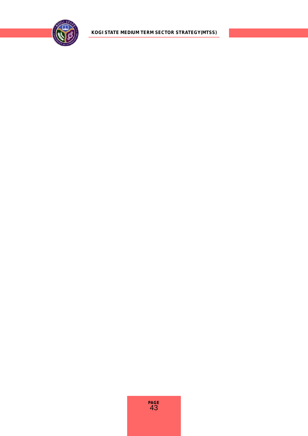